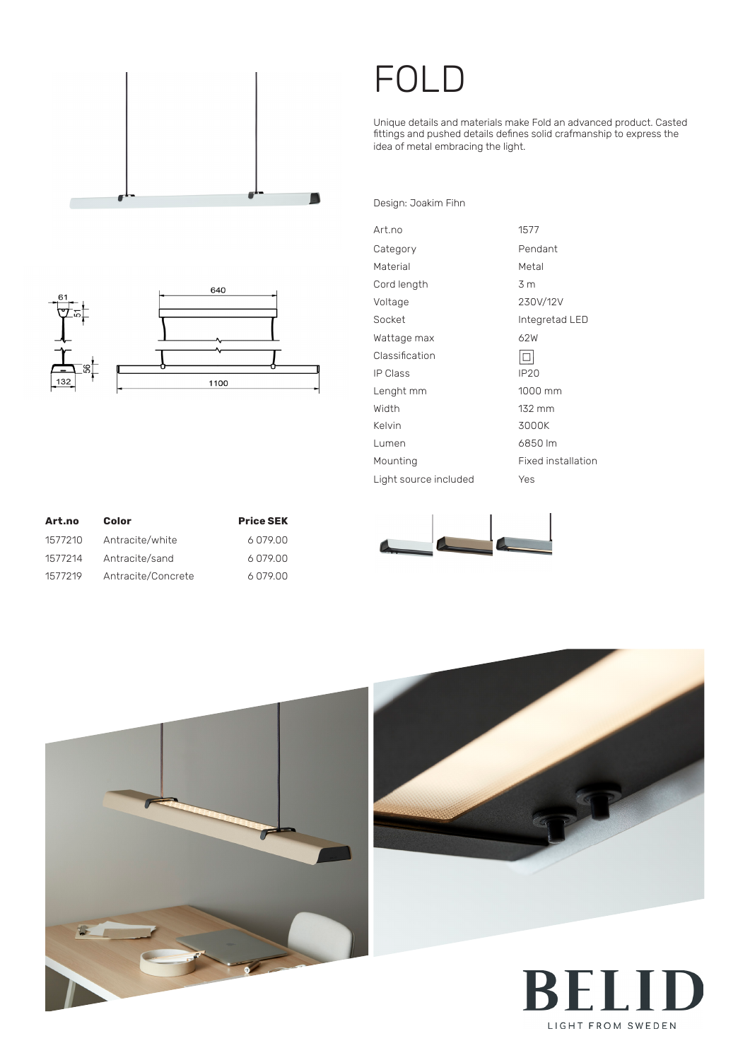

## FOLD

Unique details and materials make Fold an advanced product. Casted fittings and pushed details defines solid crafmanship to express the idea of metal embracing the light.

Design: Joakim Fihn



| Art.no                | 1577                      |
|-----------------------|---------------------------|
| Category              | Pendant                   |
|                       |                           |
| Material              | Metal                     |
| Cord length           | 3 m                       |
| Voltage               | 230V/12V                  |
| Socket                | Integretad LED            |
| Wattage max           | 62W                       |
| Classification        |                           |
| <b>IP Class</b>       | <b>IP20</b>               |
| Lenght mm             | 1000 mm                   |
| Width                 | 132 mm                    |
| Kelvin                | 3000K                     |
| Lumen                 | 6850 lm                   |
| Mounting              | <b>Fixed installation</b> |
| Light source included | Yes                       |

| Art.no  | Color              | <b>Price SEK</b> |
|---------|--------------------|------------------|
| 1577210 | Antracite/white    | 6079.00          |
| 1577214 | Antracite/sand     | 6079.00          |
| 1577219 | Antracite/Concrete | 6079.00          |







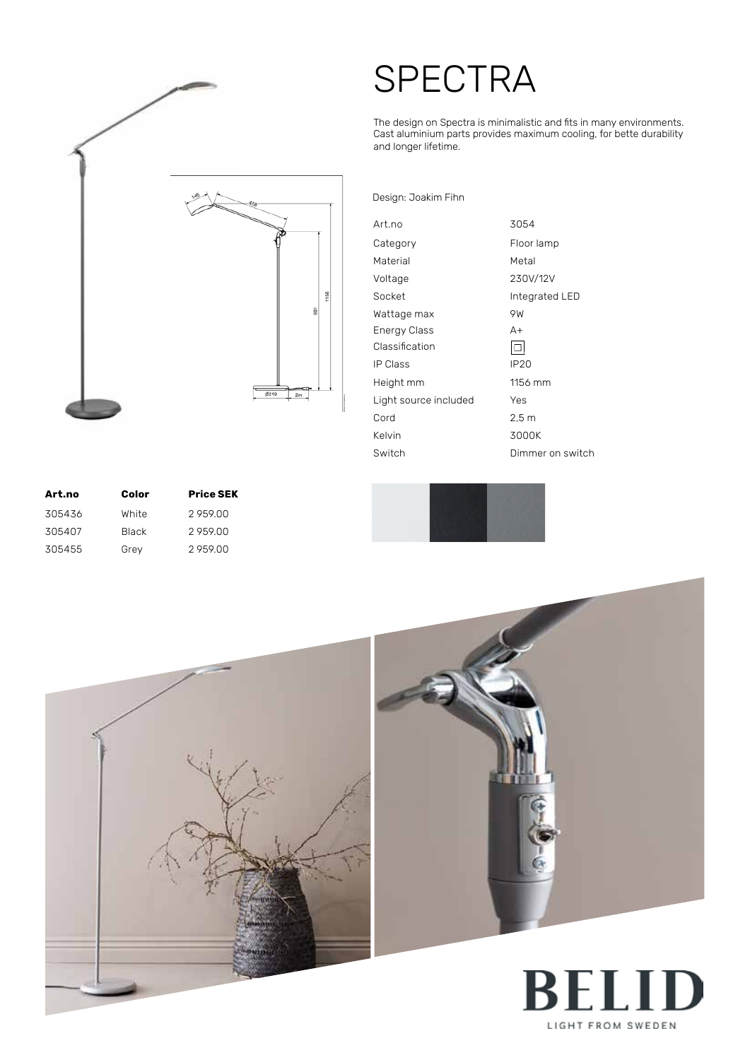

## **SPECTRA**

The design on Spectra is minimalistic and fits in many environments. Cast aluminium parts provides maximum cooling, for bette durability and longer lifetime.

Design: Joakim Fihn

| Art.no                | 3054             |
|-----------------------|------------------|
| Category              | Floor lamp       |
| Material              | Metal            |
| Voltage               | 230V/12V         |
| Socket                | Integrated LED   |
| Wattage max           | 9W               |
| <b>Energy Class</b>   | A+               |
| Classification        |                  |
| <b>IP Class</b>       | IP <sub>20</sub> |
| Height mm             | 1156 mm          |
| Light source included | Yes              |
| Cord                  | 2.5m             |
| Kelvin                | 3000K            |
| Switch                | Dimmer on switch |

| Art.no | Color        | <b>Price SEK</b> |
|--------|--------------|------------------|
| 305436 | White        | 2959.00          |
| 305407 | <b>Black</b> | 295900           |
| 305455 | Grey         | 295900           |